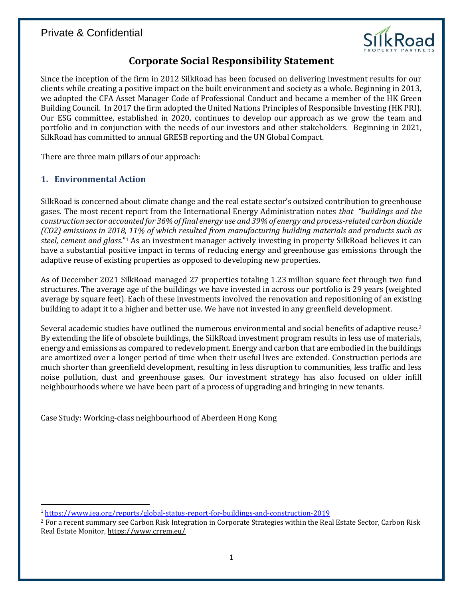

# **Corporate Social Responsibility Statement**

Since the inception of the firm in 2012 SilkRoad has been focused on delivering investment results for our clients while creating a positive impact on the built environment and society as a whole. Beginning in 2013, we adopted the CFA Asset Manager Code of Professional Conduct and became a member of the HK Green Building Council. In 2017 the firm adopted the United Nations Principles of Responsible Investing (HK PRI). Our ESG committee, established in 2020, continues to develop our approach as we grow the team and portfolio and in conjunction with the needs of our investors and other stakeholders. Beginning in 2021, SilkRoad has committed to annual GRESB reporting and the UN Global Compact.

There are three main pillars of our approach:

#### **1. Environmental Action**

SilkRoad is concerned about climate change and the real estate sector's outsized contribution to greenhouse gases. The most recent report from the International Energy Administration notes *that "buildings and the construction sector accounted for 36% of final energy use and 39% of energy and process-related carbon dioxide (CO2) emissions in 2018, 11% of which resulted from manufacturing building materials and products such as steel, cement and glass*."<sup>1</sup> As an investment manager actively investing in property SilkRoad believes it can have a substantial positive impact in terms of reducing energy and greenhouse gas emissions through the adaptive reuse of existing properties as opposed to developing new properties.

As of December 2021 SilkRoad managed 27 properties totaling 1.23 million square feet through two fund structures. The average age of the buildings we have invested in across our portfolio is 29 years (weighted average by square feet). Each of these investments involved the renovation and repositioning of an existing building to adapt it to a higher and better use. We have not invested in any greenfield development.

Several academic studies have outlined the numerous environmental and social benefits of adaptive reuse.<sup>2</sup> By extending the life of obsolete buildings, the SilkRoad investment program results in less use of materials, energy and emissions as compared to redevelopment. Energy and carbon that are embodied in the buildings are amortized over a longer period of time when their useful lives are extended. Construction periods are much shorter than greenfield development, resulting in less disruption to communities, less traffic and less noise pollution, dust and greenhouse gases. Our investment strategy has also focused on older infill neighbourhoods where we have been part of a process of upgrading and bringing in new tenants.

Case Study: Working-class neighbourhood of Aberdeen Hong Kong

<sup>1</sup> <https://www.iea.org/reports/global-status-report-for-buildings-and-construction-2019>

<sup>2</sup> For a recent summary see Carbon Risk Integration in Corporate Strategies within the Real Estate Sector, Carbon Risk Real Estate Monitor[, https://www.crrem.eu/](https://www.crrem.eu/)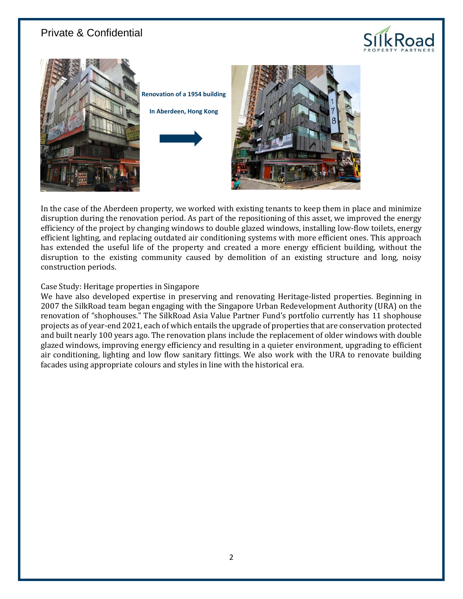



In the case of the Aberdeen property, we worked with existing tenants to keep them in place and minimize disruption during the renovation period. As part of the repositioning of this asset, we improved the energy efficiency of the project by changing windows to double glazed windows, installing low-flow toilets, energy efficient lighting, and replacing outdated air conditioning systems with more efficient ones. This approach has extended the useful life of the property and created a more energy efficient building, without the disruption to the existing community caused by demolition of an existing structure and long, noisy construction periods.

#### Case Study: Heritage properties in Singapore

We have also developed expertise in preserving and renovating Heritage-listed properties. Beginning in 2007 the SilkRoad team began engaging with the Singapore Urban Redevelopment Authority (URA) on the renovation of "shophouses." The SilkRoad Asia Value Partner Fund's portfolio currently has 11 shophouse projects as of year-end 2021, each of which entails the upgrade of properties that are conservation protected and built nearly 100 years ago. The renovation plans include the replacement of older windows with double glazed windows, improving energy efficiency and resulting in a quieter environment, upgrading to efficient air conditioning, lighting and low flow sanitary fittings. We also work with the URA to renovate building facades using appropriate colours and styles in line with the historical era.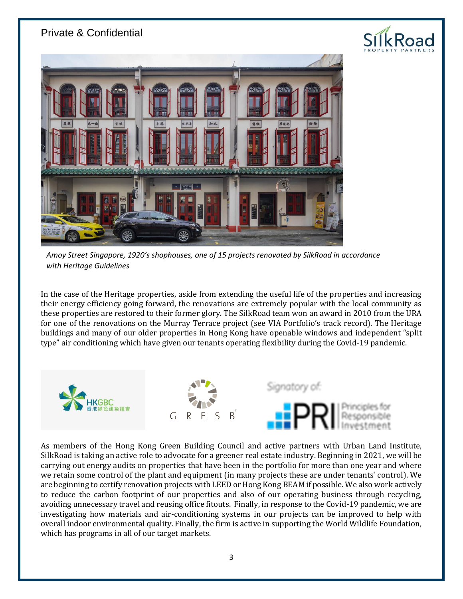

*Amoy Street Singapore, 1920's shophouses, one of 15 projects renovated by SilkRoad in accordance with Heritage Guidelines*

In the case of the Heritage properties, aside from extending the useful life of the properties and increasing their energy efficiency going forward, the renovations are extremely popular with the local community as these properties are restored to their former glory. The SilkRoad team won an award in 2010 from the URA for one of the renovations on the Murray Terrace project (see VIA Portfolio's track record). The Heritage buildings and many of our older properties in Hong Kong have openable windows and independent "split type" air conditioning which have given our tenants operating flexibility during the Covid-19 pandemic.



As members of the Hong Kong Green Building Council and active partners with Urban Land Institute, SilkRoad is taking an active role to advocate for a greener real estate industry. Beginning in 2021, we will be carrying out energy audits on properties that have been in the portfolio for more than one year and where we retain some control of the plant and equipment (in many projects these are under tenants' control). We are beginning to certify renovation projects with LEED or Hong Kong BEAM if possible. We also work actively to reduce the carbon footprint of our properties and also of our operating business through recycling, avoiding unnecessary travel and reusing office fitouts. Finally, in response to the Covid-19 pandemic, we are investigating how materials and air-conditioning systems in our projects can be improved to help with overall indoor environmental quality. Finally, the firm is active in supporting the World Wildlife Foundation, which has programs in all of our target markets.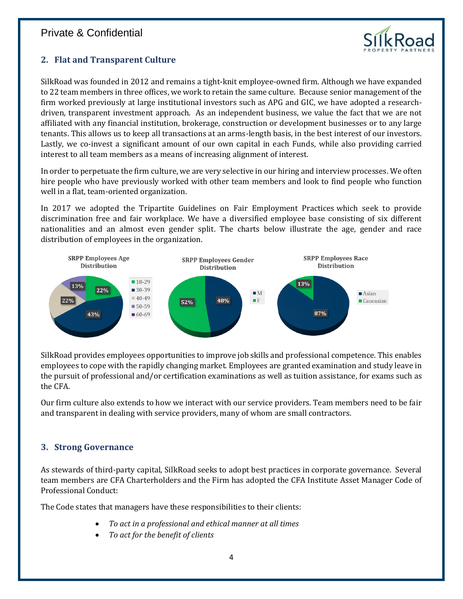

### **2. Flat and Transparent Culture**

SilkRoad was founded in 2012 and remains a tight-knit employee-owned firm. Although we have expanded to 22 team members in three offices, we work to retain the same culture. Because senior management of the firm worked previously at large institutional investors such as APG and GIC, we have adopted a researchdriven, transparent investment approach. As an independent business, we value the fact that we are not affiliated with any financial institution, brokerage, construction or development businesses or to any large tenants. This allows us to keep all transactions at an arms-length basis, in the best interest of our investors. Lastly, we co-invest a significant amount of our own capital in each Funds, while also providing carried interest to all team members as a means of increasing alignment of interest.

In order to perpetuate the firm culture, we are very selective in our hiring and interview processes. We often hire people who have previously worked with other team members and look to find people who function well in a flat, team-oriented organization.

In 2017 we adopted the Tripartite Guidelines on Fair Employment Practices which seek to provide discrimination free and fair workplace. We have a diversified employee base consisting of six different nationalities and an almost even gender split. The charts below illustrate the age, gender and race distribution of employees in the organization.



SilkRoad provides employees opportunities to improve job skills and professional competence. This enables employees to cope with the rapidly changing market. Employees are granted examination and study leave in the pursuit of professional and/or certification examinations as well as tuition assistance, for exams such as the CFA.

Our firm culture also extends to how we interact with our service providers. Team members need to be fair and transparent in dealing with service providers, many of whom are small contractors.

#### **3. Strong Governance**

As stewards of third-party capital, SilkRoad seeks to adopt best practices in corporate governance. Several team members are CFA Charterholders and the Firm has adopted the CFA Institute Asset Manager Code of Professional Conduct:

The Code states that managers have these responsibilities to their clients:

- *To act in a professional and ethical manner at all times*
- *To act for the benefit of clients*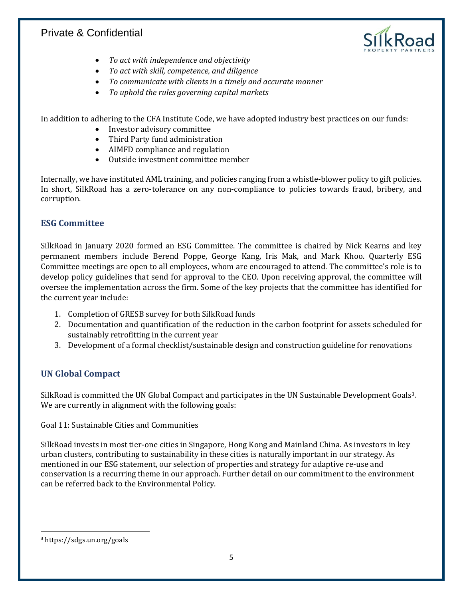

- *To act with independence and objectivity*
- *To act with skill, competence, and diligence*
- *To communicate with clients in a timely and accurate manner*
- *To uphold the rules governing capital markets*

In addition to adhering to the CFA Institute Code, we have adopted industry best practices on our funds:

- Investor advisory committee
- Third Party fund administration
- AIMFD compliance and regulation
- Outside investment committee member

Internally, we have instituted AML training, and policies ranging from a whistle-blower policy to gift policies. In short, SilkRoad has a zero-tolerance on any non-compliance to policies towards fraud, bribery, and corruption.

#### **ESG Committee**

SilkRoad in January 2020 formed an ESG Committee. The committee is chaired by Nick Kearns and key permanent members include Berend Poppe, George Kang, Iris Mak, and Mark Khoo. Quarterly ESG Committee meetings are open to all employees, whom are encouraged to attend. The committee's role is to develop policy guidelines that send for approval to the CEO. Upon receiving approval, the committee will oversee the implementation across the firm. Some of the key projects that the committee has identified for the current year include:

- 1. Completion of GRESB survey for both SilkRoad funds
- 2. Documentation and quantification of the reduction in the carbon footprint for assets scheduled for sustainably retrofitting in the current year
- 3. Development of a formal checklist/sustainable design and construction guideline for renovations

#### **UN Global Compact**

SilkRoad is committed the UN Global Compact and participates in the UN Sustainable Development Goals3. We are currently in alignment with the following goals:

Goal 11: Sustainable Cities and Communities

SilkRoad invests in most tier-one cities in Singapore, Hong Kong and Mainland China. As investors in key urban clusters, contributing to sustainability in these cities is naturally important in our strategy. As mentioned in our ESG statement, our selection of properties and strategy for adaptive re-use and conservation is a recurring theme in our approach. Further detail on our commitment to the environment can be referred back to the Environmental Policy.

<sup>3</sup> https://sdgs.un.org/goals